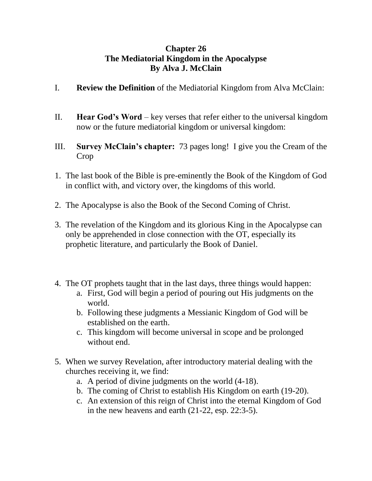## **Chapter 26 The Mediatorial Kingdom in the Apocalypse By Alva J. McClain**

- I. **Review the Definition** of the Mediatorial Kingdom from Alva McClain:
- II. **Hear God's Word**  key verses that refer either to the universal kingdom now or the future mediatorial kingdom or universal kingdom:
- III. **Survey McClain's chapter:** 73 pages long! I give you the Cream of the Crop
- 1. The last book of the Bible is pre-eminently the Book of the Kingdom of God in conflict with, and victory over, the kingdoms of this world.
- 2. The Apocalypse is also the Book of the Second Coming of Christ.
- 3. The revelation of the Kingdom and its glorious King in the Apocalypse can only be apprehended in close connection with the OT, especially its prophetic literature, and particularly the Book of Daniel.
- 4. The OT prophets taught that in the last days, three things would happen:
	- a. First, God will begin a period of pouring out His judgments on the world.
	- b. Following these judgments a Messianic Kingdom of God will be established on the earth.
	- c. This kingdom will become universal in scope and be prolonged without end.
- 5. When we survey Revelation, after introductory material dealing with the churches receiving it, we find:
	- a. A period of divine judgments on the world (4-18).
	- b. The coming of Christ to establish His Kingdom on earth (19-20).
	- c. An extension of this reign of Christ into the eternal Kingdom of God in the new heavens and earth (21-22, esp. 22:3-5).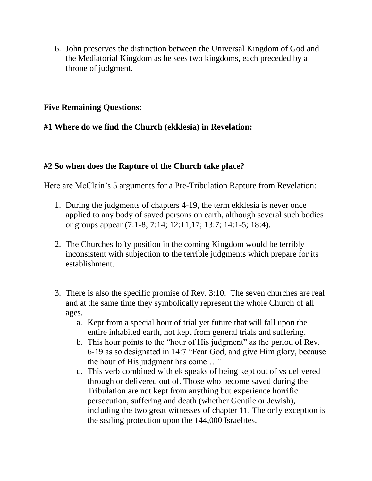6. John preserves the distinction between the Universal Kingdom of God and the Mediatorial Kingdom as he sees two kingdoms, each preceded by a throne of judgment.

### **Five Remaining Questions:**

## **#1 Where do we find the Church (ekklesia) in Revelation:**

# **#2 So when does the Rapture of the Church take place?**

Here are McClain's 5 arguments for a Pre-Tribulation Rapture from Revelation:

- 1. During the judgments of chapters 4-19, the term ekklesia is never once applied to any body of saved persons on earth, although several such bodies or groups appear (7:1-8; 7:14; 12:11,17; 13:7; 14:1-5; 18:4).
- 2. The Churches lofty position in the coming Kingdom would be terribly inconsistent with subjection to the terrible judgments which prepare for its establishment.
- 3. There is also the specific promise of Rev. 3:10. The seven churches are real and at the same time they symbolically represent the whole Church of all ages.
	- a. Kept from a special hour of trial yet future that will fall upon the entire inhabited earth, not kept from general trials and suffering.
	- b. This hour points to the "hour of His judgment" as the period of Rev. 6-19 as so designated in 14:7 "Fear God, and give Him glory, because the hour of His judgment has come …"
	- c. This verb combined with ek speaks of being kept out of vs delivered through or delivered out of. Those who become saved during the Tribulation are not kept from anything but experience horrific persecution, suffering and death (whether Gentile or Jewish), including the two great witnesses of chapter 11. The only exception is the sealing protection upon the 144,000 Israelites.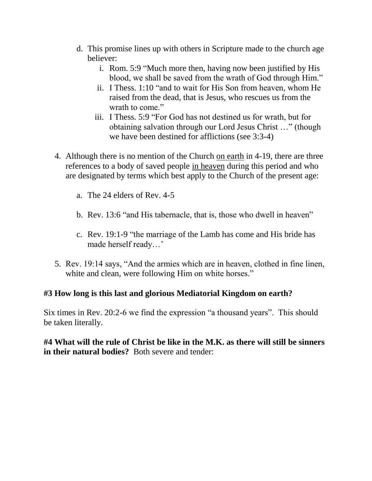- d. This promise lines up with others in Scripture made to the church age believer:
	- i. Rom. 5:9 "Much more then, having now been justified by His blood, we shall be saved from the wrath of God through Him."
	- ii. I Thess. 1:10 "and to wait for His Son from heaven, whom He raised from the dead, that is Jesus, who rescues us from the wrath to come."
	- iii. I Thess. 5:9 "For God has not destined us for wrath, but for obtaining salvation through our Lord Jesus Christ …" (though we have been destined for afflictions (see 3:3-4)
- 4. Although there is no mention of the Church on earth in 4-19, there are three references to a body of saved people in heaven during this period and who are designated by terms which best apply to the Church of the present age:
	- a. The 24 elders of Rev. 4-5
	- b. Rev. 13:6 "and His tabernacle, that is, those who dwell in heaven"
	- c. Rev. 19:1-9 "the marriage of the Lamb has come and His bride has made herself ready…'
- 5. Rev. 19:14 says, "And the armies which are in heaven, clothed in fine linen, white and clean, were following Him on white horses."

## **#3 How long is this last and glorious Mediatorial Kingdom on earth?**

Six times in Rev. 20:2-6 we find the expression "a thousand years". This should be taken literally.

## **#4 What will the rule of Christ be like in the M.K. as there will still be sinners in their natural bodies?** Both severe and tender: